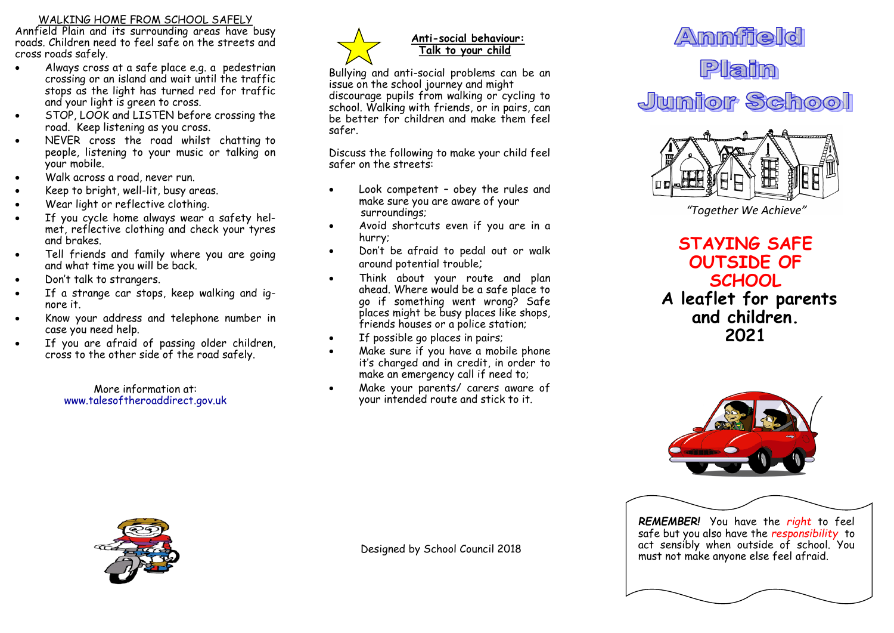#### WALKING HOME FROM SCHOOL SAFELY

Annfield Plain and its surrounding areas have busy roads. Children need to feel safe on the streets and cross roads safely.

- Always cross at a safe place e.g. a pedestrian crossing or an island and wait until the traffic stops as the light has turned red for traffic and your light is green to cross.
- STOP, LOOK and LISTEN before crossing the road. Keep listening as you cross.
- NEVER cross the road whilst chatting to people, listening to your music or talking on your mobile.
- Walk across a road, never run.
- Keep to bright, well-lit, busy areas.
- Wear light or reflective clothing.
- If you cycle home always wear a safety helmet, reflective clothing and check your tyres and brakes.
- Tell friends and family where you are going and what time you will be back.
- Don't talk to strangers.
- If a strange car stops, keep walking and ignore it.
- Know your address and telephone number in case you need help.
- If you are afraid of passing older children, cross to the other side of the road safely.

More information at: www.talesoftheroaddirect.gov.uk



## **Anti-social behaviour: Talk to your child**

Bullying and anti-social problems can be an issue on the school journey and might discourage pupils from walking or cycling to school. Walking with friends, or in pairs, can be better for children and make them feel safer.

Discuss the following to make your child feel safer on the streets:

- Look competent obey the rules and make sure you are aware of your surroundings;
- Avoid shortcuts even if you are in a hurry;
- Don't be afraid to pedal out or walk around potential trouble;
- Think about your route and plan ahead. Where would be a safe place to go if something went wrong? Safe places might be busy places like shops, friends houses or a police station:
- If possible go places in pairs;
- Make sure if you have a mobile phone it's charged and in credit, in order to make an emergency call if need to;
- Make your parents/ carers aware of your intended route and stick to it.





*"Together We Achieve"*

**STAYING SAFE OUTSIDE OF SCHOOL A leaflet for parents and children. 2021**



*REMEMBER!* You have the *right* to feel safe but you also have the *responsibility* to act sensibly when outside of school. You must not make anyone else feel afraid.



Designed by School Council 2018